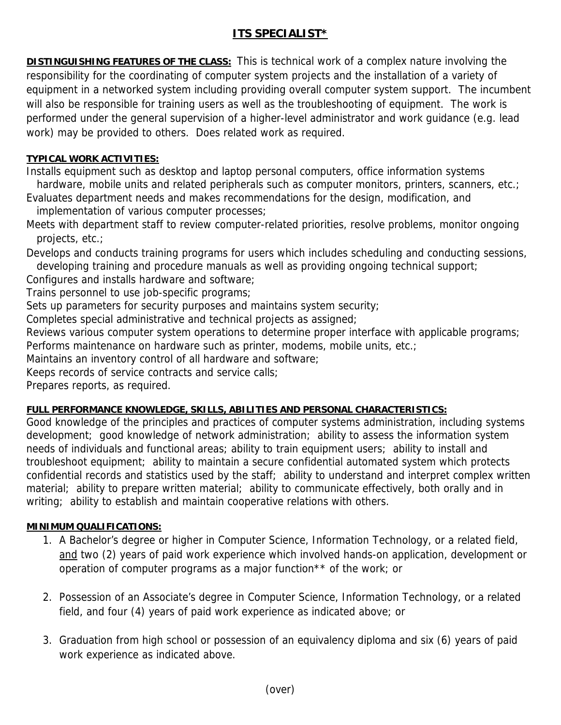## **ITS SPECIALIST\***

**DISTINGUISHING FEATURES OF THE CLASS:** This is technical work of a complex nature involving the responsibility for the coordinating of computer system projects and the installation of a variety of equipment in a networked system including providing overall computer system support. The incumbent will also be responsible for training users as well as the troubleshooting of equipment. The work is performed under the general supervision of a higher-level administrator and work guidance (e.g. lead work) may be provided to others. Does related work as required.

## **TYPICAL WORK ACTIVITIES:**

Installs equipment such as desktop and laptop personal computers, office information systems

hardware, mobile units and related peripherals such as computer monitors, printers, scanners, etc.; Evaluates department needs and makes recommendations for the design, modification, and implementation of various computer processes;

Meets with department staff to review computer-related priorities, resolve problems, monitor ongoing projects, etc.;

Develops and conducts training programs for users which includes scheduling and conducting sessions, developing training and procedure manuals as well as providing ongoing technical support;

Configures and installs hardware and software;

Trains personnel to use job-specific programs;

Sets up parameters for security purposes and maintains system security;

Completes special administrative and technical projects as assigned;

Reviews various computer system operations to determine proper interface with applicable programs; Performs maintenance on hardware such as printer, modems, mobile units, etc.;

Maintains an inventory control of all hardware and software;

Keeps records of service contracts and service calls;

Prepares reports, as required.

## **FULL PERFORMANCE KNOWLEDGE, SKILLS, ABILITIES AND PERSONAL CHARACTERISTICS:**

Good knowledge of the principles and practices of computer systems administration, including systems development; good knowledge of network administration; ability to assess the information system needs of individuals and functional areas; ability to train equipment users; ability to install and troubleshoot equipment; ability to maintain a secure confidential automated system which protects confidential records and statistics used by the staff; ability to understand and interpret complex written material; ability to prepare written material; ability to communicate effectively, both orally and in writing; ability to establish and maintain cooperative relations with others.

## **MINIMUM QUALIFICATIONS:**

- 1. A Bachelor's degree or higher in Computer Science, Information Technology, or a related field, and two (2) years of paid work experience which involved hands-on application, development or operation of computer programs as a major function\*\* of the work; or
- 2. Possession of an Associate's degree in Computer Science, Information Technology, or a related field, and four (4) years of paid work experience as indicated above; or
- 3. Graduation from high school or possession of an equivalency diploma and six (6) years of paid work experience as indicated above.